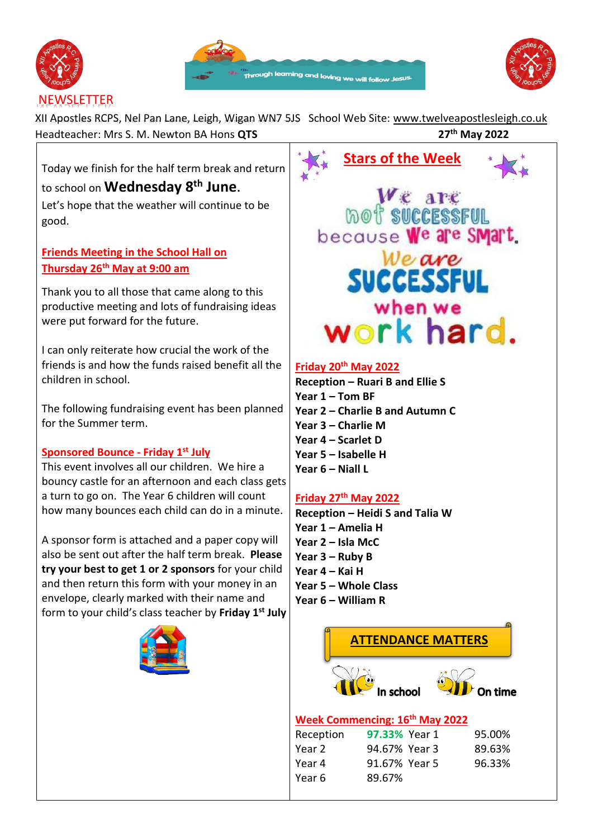





XII Apostles RCPS, Nel Pan Lane, Leigh, Wigan WN7 5JS School Web Site: [www.twelveapostlesleigh.co.uk](http://www.twelveapostlesleigh.co.uk/)  Headteacher: Mrs S. M. Newton BA Hons **QTS 27th May 2022**

Today we finish for the half term break and return to school on **Wednesday 8th June**. Let's hope that the weather will continue to be good.

**Friends Meeting in the School Hall on Thursday 26th May at 9:00 am**

Thank you to all those that came along to this productive meeting and lots of fundraising ideas were put forward for the future.

I can only reiterate how crucial the work of the friends is and how the funds raised benefit all the children in school.

The following fundraising event has been planned for the Summer term.

# **Sponsored Bounce - Friday 1st July**

This event involves all our children. We hire a bouncy castle for an afternoon and each class gets a turn to go on. The Year 6 children will count how many bounces each child can do in a minute.

A sponsor form is attached and a paper copy will also be sent out after the half term break. **Please try your best to get 1 or 2 sponsors** for your child and then return this form with your money in an envelope, clearly marked with their name and form to your child's class teacher by **Friday 1 st July** 



**WE APE**<br>mot successful because We are SMart Weare **SUCCESSFUL** when we work hard.

**Stars of the Week** 

# **Friday 20th May 2022**

**Reception – Ruari B and Ellie S Year 1 – Tom BF Year 2 – Charlie B and Autumn C Year 3 – Charlie M Year 4 – Scarlet D Year 5 – Isabelle H Year 6 – Niall L**

# **Friday 27th May 2022**

Year 6 89.67%

**Reception – Heidi S and Talia W Year 1 – Amelia H Year 2 – Isla McC Year 3 – Ruby B Year 4 – Kai H Year 5 – Whole Class Year 6 – William R**

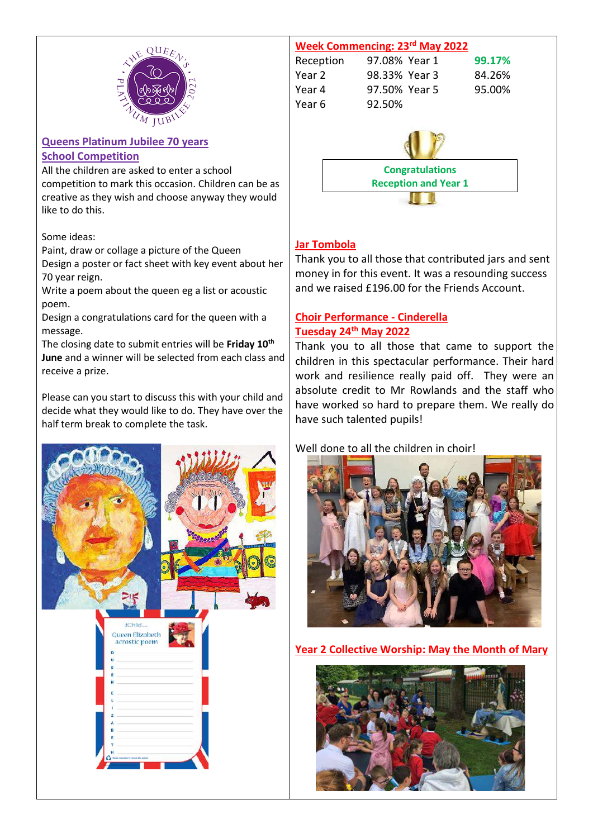

#### **Queens Platinum Jubilee 70 years School Competition**

All the children are asked to enter a school competition to mark this occasion. Children can be as creative as they wish and choose anyway they would like to do this.

Some ideas:

Paint, draw or collage a picture of the Queen Design a poster or fact sheet with key event about her 70 year reign.

Write a poem about the queen eg a list or acoustic poem.

Design a congratulations card for the queen with a message.

The closing date to submit entries will be **Friday 10th June** and a winner will be selected from each class and receive a prize.

Please can you start to discuss this with your child and decide what they would like to do. They have over the half term break to complete the task.





# **Jar Tombola**

Thank you to all those that contributed jars and sent money in for this event. It was a resounding success and we raised £196.00 for the Friends Account.

# **Choir Performance - Cinderella Tuesday 24th May 2022**

Thank you to all those that came to support the children in this spectacular performance. Their hard work and resilience really paid off. They were an absolute credit to Mr Rowlands and the staff who have worked so hard to prepare them. We really do have such talented pupils!

Well done to all the children in choir!



**Year 2 Collective Worship: May the Month of Mary** 

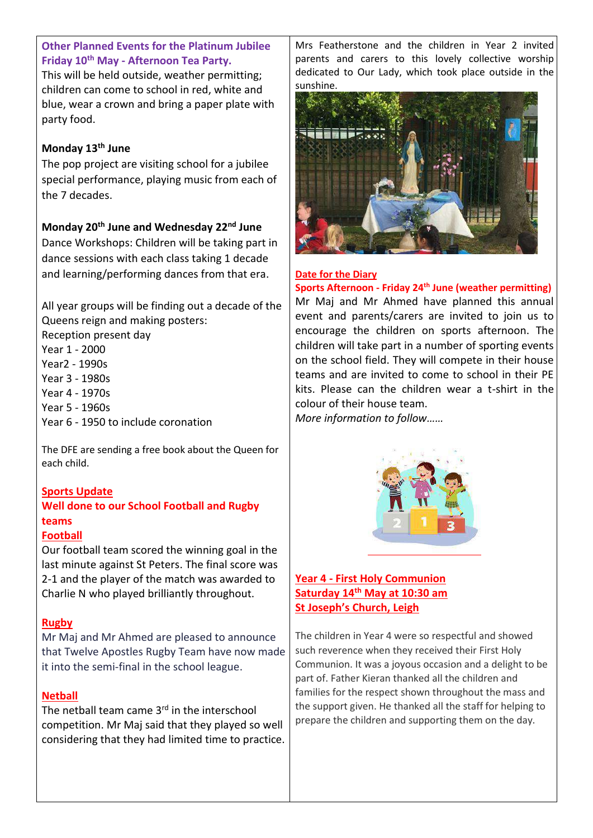# **Other Planned Events for the Platinum Jubilee Friday 10th May - Afternoon Tea Party.**

This will be held outside, weather permitting; children can come to school in red, white and blue, wear a crown and bring a paper plate with party food.

#### **Monday 13th June**

The pop project are visiting school for a jubilee special performance, playing music from each of the 7 decades.

# **Monday 20th June and Wednesday 22nd June**

Dance Workshops: Children will be taking part in dance sessions with each class taking 1 decade and learning/performing dances from that era.

All year groups will be finding out a decade of the Queens reign and making posters:

- Reception present day
- Year 1 2000
- Year2 1990s
- Year 3 1980s
- Year 4 1970s
- Year 5 1960s
- Year 6 1950 to include coronation

The DFE are sending a free book about the Queen for each child.

#### **Sports Update**

# **Well done to our School Football and Rugby teams**

#### **Football**

Our football team scored the winning goal in the last minute against St Peters. The final score was 2-1 and the player of the match was awarded to Charlie N who played brilliantly throughout.

#### **Rugby**

Mr Maj and Mr Ahmed are pleased to announce that Twelve Apostles Rugby Team have now made it into the semi-final in the school league.

#### **Netball**

The netball team came  $3<sup>rd</sup>$  in the interschool competition. Mr Maj said that they played so well considering that they had limited time to practice. Mrs Featherstone and the children in Year 2 invited parents and carers to this lovely collective worship dedicated to Our Lady, which took place outside in the sunshine.



#### **Date for the Diary**

**Sports Afternoon - Friday 24th June (weather permitting)** Mr Maj and Mr Ahmed have planned this annual event and parents/carers are invited to join us to encourage the children on sports afternoon. The children will take part in a number of sporting events on the school field. They will compete in their house teams and are invited to come to school in their PE kits. Please can the children wear a t-shirt in the colour of their house team.

*More information to follow……*



#### **Year 4 - First Holy Communion Saturday 14th May at 10:30 am St Joseph's Church, Leigh**

The children in Year 4 were so respectful and showed such reverence when they received their First Holy Communion. It was a joyous occasion and a delight to be part of. Father Kieran thanked all the children and families for the respect shown throughout the mass and the support given. He thanked all the staff for helping to prepare the children and supporting them on the day.